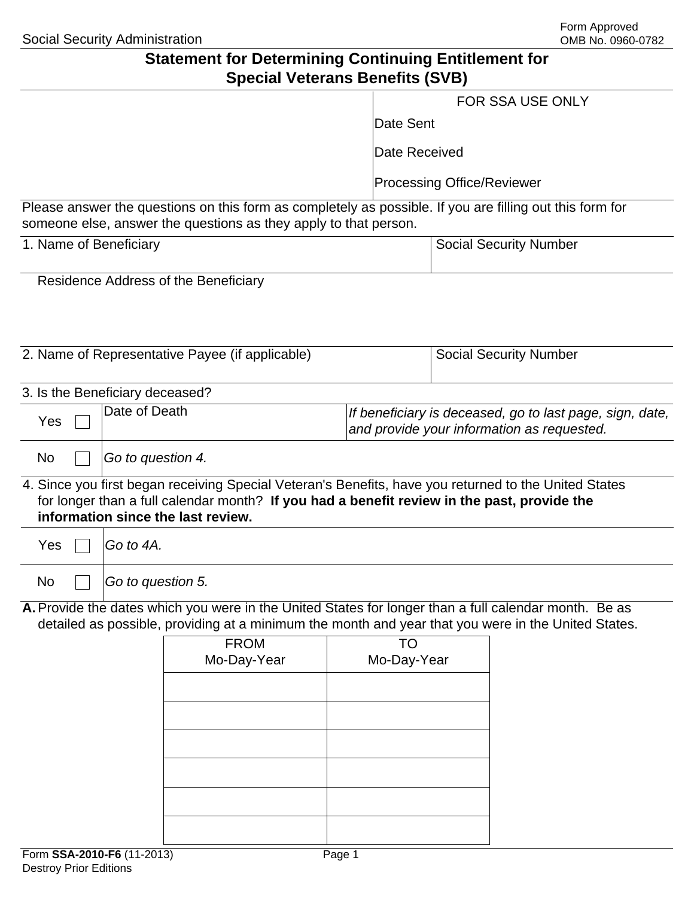# **Statement for Determining Continuing Entitlement for Special Veterans Benefits (SVB)**

|                                 |                   | Opecial veteralis Defierits (OVD)                                                                                                                                                                                                          |       |                                   |                               |                               |
|---------------------------------|-------------------|--------------------------------------------------------------------------------------------------------------------------------------------------------------------------------------------------------------------------------------------|-------|-----------------------------------|-------------------------------|-------------------------------|
|                                 |                   |                                                                                                                                                                                                                                            |       | FOR SSA USE ONLY                  |                               |                               |
|                                 |                   |                                                                                                                                                                                                                                            |       | Date Sent                         |                               |                               |
|                                 |                   |                                                                                                                                                                                                                                            |       | Date Received                     |                               |                               |
|                                 |                   |                                                                                                                                                                                                                                            |       | <b>Processing Office/Reviewer</b> |                               |                               |
|                                 |                   | Please answer the questions on this form as completely as possible. If you are filling out this form for<br>someone else, answer the questions as they apply to that person.                                                               |       |                                   |                               |                               |
| 1. Name of Beneficiary          |                   |                                                                                                                                                                                                                                            |       |                                   | <b>Social Security Number</b> |                               |
|                                 |                   | Residence Address of the Beneficiary                                                                                                                                                                                                       |       |                                   |                               |                               |
|                                 |                   |                                                                                                                                                                                                                                            |       |                                   |                               |                               |
|                                 |                   |                                                                                                                                                                                                                                            |       |                                   |                               |                               |
|                                 |                   | 2. Name of Representative Payee (if applicable)                                                                                                                                                                                            |       |                                   |                               | <b>Social Security Number</b> |
| 3. Is the Beneficiary deceased? |                   |                                                                                                                                                                                                                                            |       |                                   |                               |                               |
| Yes                             | Date of Death     | If beneficiary is deceased, go to last page, sign, date,<br>and provide your information as requested.                                                                                                                                     |       |                                   |                               |                               |
| No                              | Go to question 4. |                                                                                                                                                                                                                                            |       |                                   |                               |                               |
|                                 |                   | 4. Since you first began receiving Special Veteran's Benefits, have you returned to the United States<br>for longer than a full calendar month? If you had a benefit review in the past, provide the<br>information since the last review. |       |                                   |                               |                               |
| Yes                             | Go to 4A.         |                                                                                                                                                                                                                                            |       |                                   |                               |                               |
| No                              | Go to question 5. |                                                                                                                                                                                                                                            |       |                                   |                               |                               |
|                                 |                   | A. Provide the dates which you were in the United States for longer than a full calendar month. Be as<br>detailed as possible, providing at a minimum the month and year that you were in the United States.                               |       |                                   |                               |                               |
|                                 |                   | <b>FROM</b><br>Mo-Day-Year                                                                                                                                                                                                                 |       | <b>TO</b><br>Mo-Day-Year          |                               |                               |
|                                 |                   |                                                                                                                                                                                                                                            |       |                                   |                               |                               |
|                                 |                   |                                                                                                                                                                                                                                            |       |                                   |                               |                               |
|                                 |                   |                                                                                                                                                                                                                                            |       |                                   |                               |                               |
|                                 |                   |                                                                                                                                                                                                                                            |       |                                   |                               |                               |
|                                 |                   |                                                                                                                                                                                                                                            |       |                                   |                               |                               |
|                                 |                   |                                                                                                                                                                                                                                            |       |                                   |                               |                               |
| $Form$ CCA_2010_EG (11_2013)    |                   |                                                                                                                                                                                                                                            | Dao 4 |                                   |                               |                               |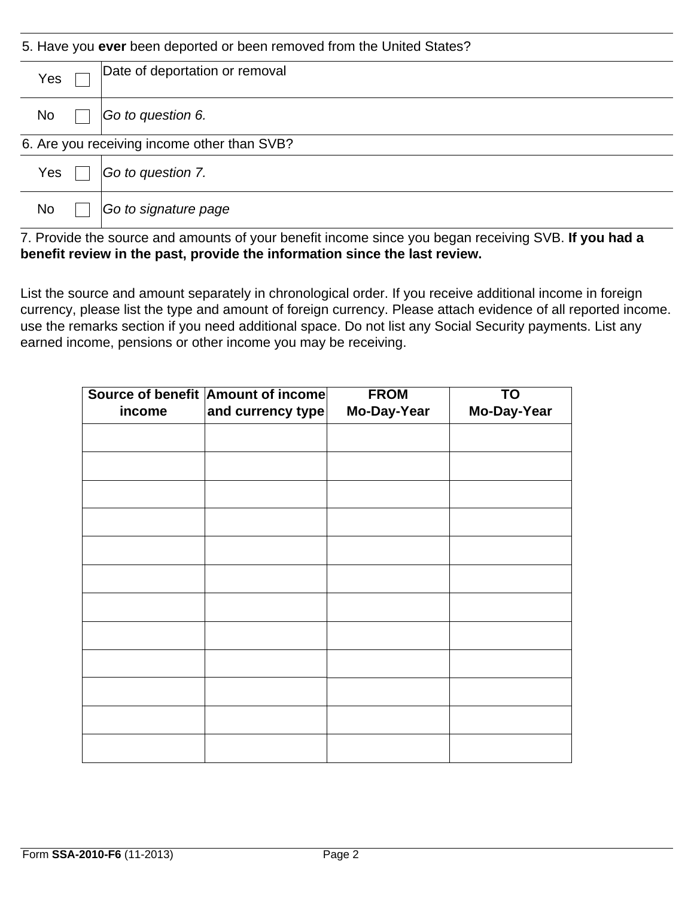| 5. Have you ever been deported or been removed from the United States? |  |                                |  |
|------------------------------------------------------------------------|--|--------------------------------|--|
| Yes                                                                    |  | Date of deportation or removal |  |
| No                                                                     |  | Go to question 6.              |  |
| 6. Are you receiving income other than SVB?                            |  |                                |  |
| Yes                                                                    |  | Go to question 7.              |  |
| <b>No</b>                                                              |  | Go to signature page           |  |

7. Provide the source and amounts of your benefit income since you began receiving SVB. **If you had a benefit review in the past, provide the information since the last review.** 

List the source and amount separately in chronological order. If you receive additional income in foreign currency, please list the type and amount of foreign currency. Please attach evidence of all reported income. use the remarks section if you need additional space. Do not list any Social Security payments. List any earned income, pensions or other income you may be receiving.

|        | Source of benefit Amount of income | <b>FROM</b> | <b>TO</b>   |
|--------|------------------------------------|-------------|-------------|
| income | and currency type                  | Mo-Day-Year | Mo-Day-Year |
|        |                                    |             |             |
|        |                                    |             |             |
|        |                                    |             |             |
|        |                                    |             |             |
|        |                                    |             |             |
|        |                                    |             |             |
|        |                                    |             |             |
|        |                                    |             |             |
|        |                                    |             |             |
|        |                                    |             |             |
|        |                                    |             |             |
|        |                                    |             |             |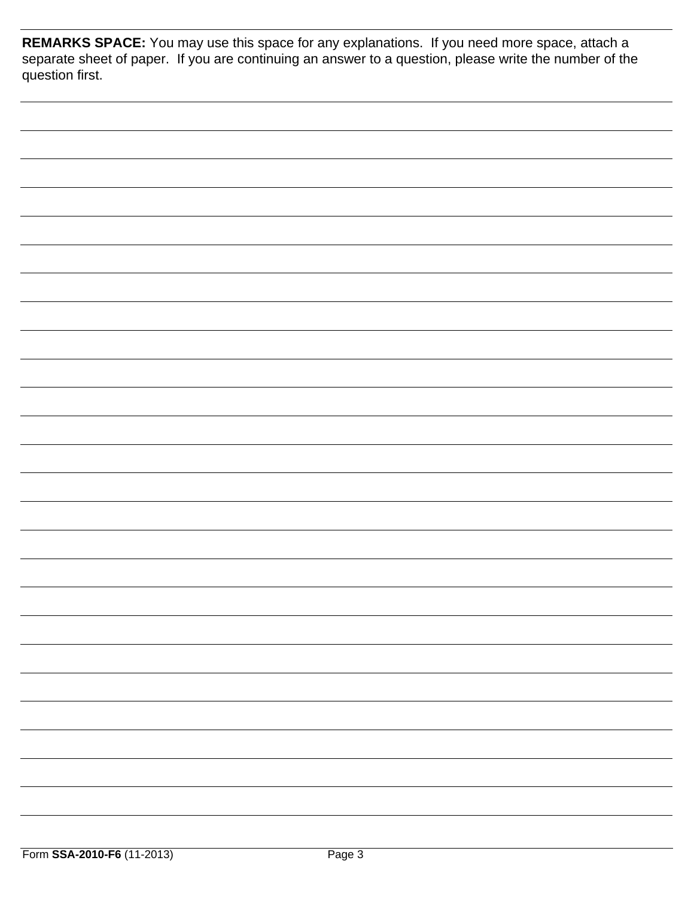**REMARKS SPACE:** You may use this space for any explanations. If you need more space, attach a separate sheet of paper. If you are continuing an answer to a question, please write the number of the question first.

| - |
|---|
|   |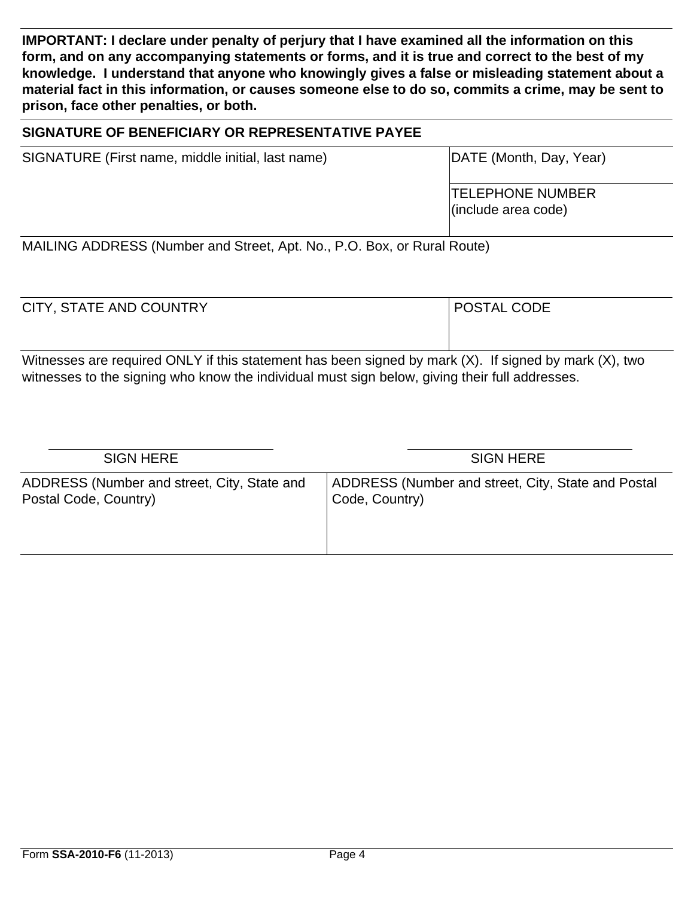**IMPORTANT: I declare under penalty of perjury that I have examined all the information on this form, and on any accompanying statements or forms, and it is true and correct to the best of my knowledge. I understand that anyone who knowingly gives a false or misleading statement about a material fact in this information, or causes someone else to do so, commits a crime, may be sent to prison, face other penalties, or both.**

### **SIGNATURE OF BENEFICIARY OR REPRESENTATIVE PAYEE**

SIGNATURE (First name, middle initial, last name) DATE (Month, Day, Year)

TELEPHONE NUMBER (include area code)

MAILING ADDRESS (Number and Street, Apt. No., P.O. Box, or Rural Route)

| POSTAL CODE |
|-------------|
|             |
|             |

Witnesses are required ONLY if this statement has been signed by mark (X). If signed by mark (X), two witnesses to the signing who know the individual must sign below, giving their full addresses.

| ADDRESS (Number and street, City, State and<br>Postal Code, Country)<br>Code, Country) | <b>SIGN HERE</b>                                   |
|----------------------------------------------------------------------------------------|----------------------------------------------------|
|                                                                                        | ADDRESS (Number and street, City, State and Postal |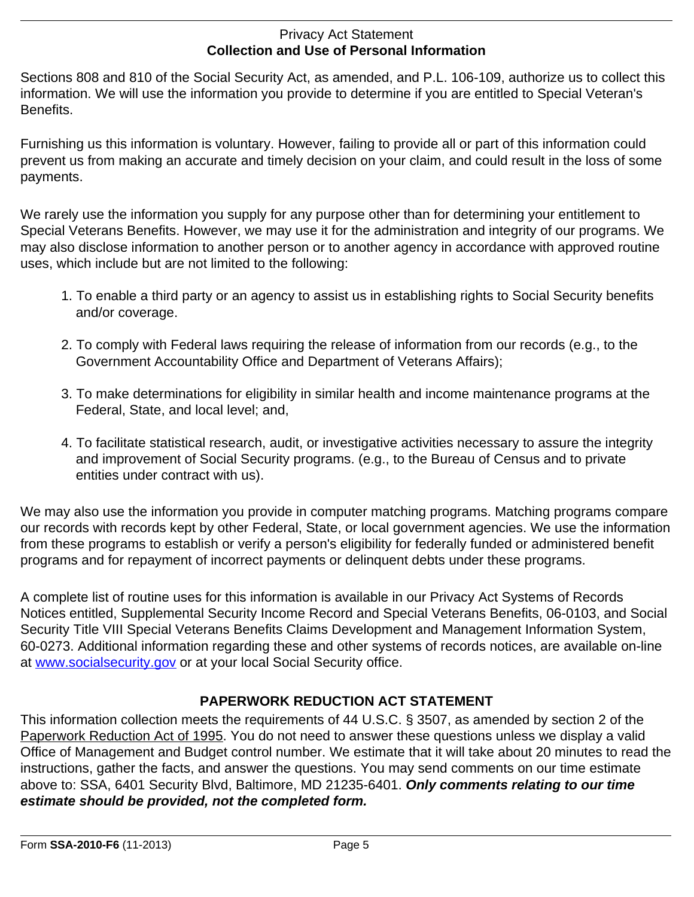### Privacy Act Statement **Collection and Use of Personal Information**

Sections 808 and 810 of the Social Security Act, as amended, and P.L. 106-109, authorize us to collect this information. We will use the information you provide to determine if you are entitled to Special Veteran's Benefits.

Furnishing us this information is voluntary. However, failing to provide all or part of this information could prevent us from making an accurate and timely decision on your claim, and could result in the loss of some payments.

We rarely use the information you supply for any purpose other than for determining your entitlement to Special Veterans Benefits. However, we may use it for the administration and integrity of our programs. We may also disclose information to another person or to another agency in accordance with approved routine uses, which include but are not limited to the following:

- 1. To enable a third party or an agency to assist us in establishing rights to Social Security benefits and/or coverage.
- 2. To comply with Federal laws requiring the release of information from our records (e.g., to the Government Accountability Office and Department of Veterans Affairs);
- 3. To make determinations for eligibility in similar health and income maintenance programs at the Federal, State, and local level; and,
- 4. To facilitate statistical research, audit, or investigative activities necessary to assure the integrity and improvement of Social Security programs. (e.g., to the Bureau of Census and to private entities under contract with us).

We may also use the information you provide in computer matching programs. Matching programs compare our records with records kept by other Federal, State, or local government agencies. We use the information from these programs to establish or verify a person's eligibility for federally funded or administered benefit programs and for repayment of incorrect payments or delinquent debts under these programs.

A complete list of routine uses for this information is available in our Privacy Act Systems of Records Notices entitled, Supplemental Security Income Record and Special Veterans Benefits, 06-0103, and Social Security Title VIII Special Veterans Benefits Claims Development and Management Information System, 60-0273. Additional information regarding these and other systems of records notices, are available on-line at www.socialsecurity.gov or at your local Social Security office.

## **PAPERWORK REDUCTION ACT STATEMENT**

This information collection meets the requirements of 44 U.S.C. § 3507, as amended by section 2 of the Paperwork Reduction Act of 1995. You do not need to answer these questions unless we display a valid Office of Management and Budget control number. We estimate that it will take about 20 minutes to read the instructions, gather the facts, and answer the questions. You may send comments on our time estimate above to: SSA, 6401 Security Blvd, Baltimore, MD 21235-6401. *Only comments relating to our time estimate should be provided, not the completed form.*